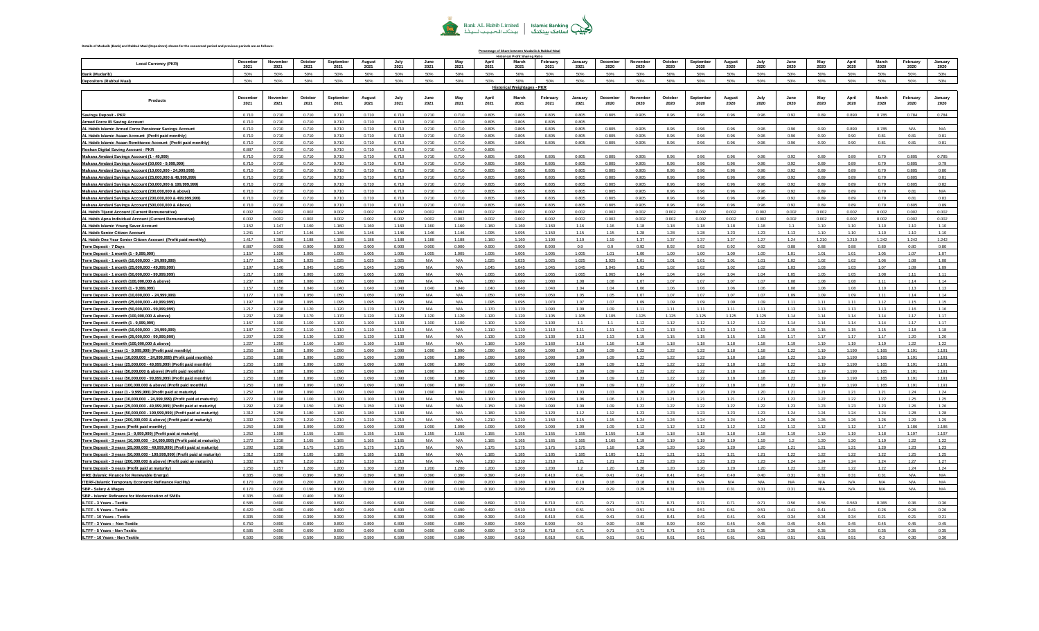

## **Details of Mudarib (Bank) and Rabbul Maal (Depositors) shares for the concerned period and previous periods are as follows:**

| Percentage of Share between Mudarib & Rabbul-Maal<br>al Profit Sharing Ratio<br>December<br>October<br>Septembe<br>February<br>October<br>Septembe<br>November<br>August<br>July<br>June<br>May<br>Anri<br>March<br><b>January</b><br>December<br>August<br>July<br>June<br>May<br>April<br>March |                 |                  |                |                  |                |                  |                |                |                |                                    |                  |                 |                  |                  |                 |                  |                |               |              |               |               |               |                  |                 |
|---------------------------------------------------------------------------------------------------------------------------------------------------------------------------------------------------------------------------------------------------------------------------------------------------|-----------------|------------------|----------------|------------------|----------------|------------------|----------------|----------------|----------------|------------------------------------|------------------|-----------------|------------------|------------------|-----------------|------------------|----------------|---------------|--------------|---------------|---------------|---------------|------------------|-----------------|
| <b>Local Currency (PKR)</b>                                                                                                                                                                                                                                                                       | 2021            | 2021             | 2021           | 2021             | 2021           | 202 <sub>1</sub> | 2021           | 2021           | 2021           | 2021                               | 2021             | 2021            | 2020             | November<br>2020 | 2020            | 2020             | 2020           | 2020          | 2020         | 2020          | 2020          | 2020          | February<br>2020 | January<br>2020 |
| <b>Bank (Mudarib)</b>                                                                                                                                                                                                                                                                             | 50%             | 50%              | 50%            | 50%              | 50%            | 50%              | 50%            | 50%            | 50%            | 50%                                | 50%              | 50%             | 50%              | 50%              | 50%             | 50%              | 50%            | 50%           | 50%          | 50%           | 50%           | 50%           | 50%              | 50%             |
| <b>Depositors (Rabbul Maal)</b>                                                                                                                                                                                                                                                                   | 50%             | 50%              | 50%            | 50%              | 50%            | 50%              | 50%            | 50%            | 50%            | 50%                                | 50%              | 50%             | 50%              | 50%              | 50%             | 50%              | 50%            | 50%           | 50%          | 50%           | 50%           | 50%           | 50%              | 50%             |
|                                                                                                                                                                                                                                                                                                   |                 |                  |                |                  |                |                  |                |                |                | <b>Historical Weightages - PKR</b> |                  |                 |                  |                  |                 |                  |                |               |              |               |               |               |                  |                 |
| Products                                                                                                                                                                                                                                                                                          | Decembe<br>2021 | November<br>2021 | Octobe<br>2021 | Septembe<br>2021 | August<br>2021 | 2021             | June<br>2021   | May<br>2021    | April<br>2021  | March<br>2021                      | February<br>2021 | January<br>2021 | December<br>2020 | November<br>2020 | October<br>2020 | Septembe<br>2020 | August<br>2020 | July<br>2020  | June<br>2020 | May<br>2020   | April<br>2020 | March<br>2020 | February<br>2020 | January<br>2020 |
| Savings Deposit - PKR                                                                                                                                                                                                                                                                             | 0.710           | 0.710            | 0.710          | 0.710            | 0.710          | 0.710            | 0.710          | 0.710          | 0.805          | 0.805                              | 0.805            | 0.805           | 0.805            | 0.905            | 0.96            | 0.96             | 0.96           | 0.96          | 0.92         | 0.89          | 0.890         | 0.785         | 0.784            | 0.784           |
| <b>Armed Force IB Saving Account</b>                                                                                                                                                                                                                                                              | 0.710           | 0.710            | 0.710          | 0.710            | 0.710          | 0.710            | 0.710          | 0.710          | 0.805          | 0.805                              | 0.805            | 0.805           |                  |                  |                 |                  |                |               |              |               |               |               |                  |                 |
| AL Habib Islamic Armed Force Pensioner Savings Account                                                                                                                                                                                                                                            | 0.710           | 0.710            | 0.710          | 0.710            | 0.710          | 0.710            | 0.710          | 0.710          | 0.805          | 0.805                              | 0.805            | 0.805           | 0.805            | 0.905            | 0.96            | 0.96             | 0.96           | 0.96          | 0.96         | 0.90          | 0.890         | 0.785         | N/A              | N/A             |
| AL Habib Islamic Asaan Account (Profit paid monthly)                                                                                                                                                                                                                                              | 0.710           | 0.710<br>0.710   | 0.710<br>0.710 | 0.710            | 0.710          | 0.710<br>0.710   | 0.710<br>0.710 | 0.710          | 0.805          | 0.805                              | 0.805            | 0.805           | 0.805            | 0.905            | 0.96            | 0.96             | 0.96           | 0.96          | 0.96         | 0.90          | 0.90          | 0.81          | 0.81             | 0.81            |
| AL Habib Islamic Asaan Remittance Account (Profit paid monthly)                                                                                                                                                                                                                                   | 0.710<br>0.887  | 0.710            | 0.710          | 0.710<br>0.710   | 0.710<br>0.710 | 0.710            | 0.710          | 0.710<br>0.710 | 0.805<br>0.805 | 0.805                              | 0.805            | 0.805           | 0.805            | 0.905            | 0.96            | 0.96             | 0.96           | 0.96          | 0.96         | 0.90          | 0.90          | 0.81          | 0.81             | 0.81            |
| Roshan Digital Saving Account - PKR<br>Mahana Amdani Savings Account (1 - 49,999)                                                                                                                                                                                                                 | 0.710           | 0.710            | 0.710          | 0.710            | 0.710          | 0.710            | 0.710          | 0.710          | 0.805          | 0.805                              | 0.805            | 0.805           | 0.805            | 0.905            | 0.96            | 0.96             | 0.96           | 0.96          | 0.92         | 0.89          | 0.89          | 0.79          | 0.805            | 0.785           |
| Mahana Amdani Savings Account (50,000 - 9,999,999)                                                                                                                                                                                                                                                | 0.710           | 0.710            | 0.710          | 0.710            | 0.710          | 0.710            | 0.710          | 0.710          | 0.805          | 0.805                              | 0.805            | 0.805           | 0.805            | 0.905            | 0.96            | 0.96             | 0.96           | 0.96          | 0.92         | 0.89          | 0.89          | 0.79          | 0.805            | 0.79            |
| Mahana Amdani Savings Account (10,000,000 - 24,999,999)                                                                                                                                                                                                                                           | 0.710           | 0.710            | 0.710          | 0.710            | 0.710          | 0.710            | 0.710          | 0.710          | 0.805          | 0.805                              | 0.805            | 0.805           | 0.805            | 0.905            | 0.96            | 0.96             | 0.96           | 0.96          | 0.92         | 0.89          | 0.89          | 0.79          | 0.805            | 0.80            |
| Mahana Amdani Savings Account (25,000,000 & 49,999,999)                                                                                                                                                                                                                                           | 0.710           | 0.710            | 0.710          | 0.710            | 0.710          | 0.710            | 0.710          | 0.710          | 0.805          | 0.805                              | 0.805            | 0.805           | 0.805            | 0.905            | 0.96            | 0.96             | 0.96           | 0.96          | 0.92         | 0.89          | 0.89          | 0.79          | 0.805            | 0.81            |
| Mahana Amdani Savings Account (50,000,000 & 199,999,999)                                                                                                                                                                                                                                          | 0.710           | 0.710            | 0.710          | 0.710            | 0.710          | 0.710            | 0.710          | 0.710          | 0.805          | 0.805                              | 0.805            | 0.805           | 0.805            | 0.905            | 0.96            | 0.96             | 0.96           | 0.96          | 0.92         | 0.89          | 0.89          | 0.79          | 0.805            | 0.82            |
| Mahana Amdani Savings Account (200,000,000 & above)                                                                                                                                                                                                                                               | 0.710           | 0.710            | 0.710          | 0.710            | 0.710          | 0.710            | 0.710          | 0.710          | 0.805          | 0.805                              | 0.805            | 0.805           | 0.805            | 0.905            | 0.96            | 0.96             | 0.96           | 0.96          | 0.92         | 0.89          | 0.89          | 0.79          | 0.81             | N/A             |
| Mahana Amdani Savings Account (200,000,000 & 499,999,999)                                                                                                                                                                                                                                         | 0.710           | 0.710            | 0.710          | 0.710            | 0.710          | 0.710            | 0.710          | 0.710          | 0.805          | 0.805                              | 0.805            | 0.805           | 0.805            | 0.905            | 0.96            | 0.96             | 0.96           | 0.96          | 0.92         | 0.89          | 0.89          | 0.79          | 0.81             | 0.83            |
| Mahana Amdani Savings Account (500,000,000 & Above)                                                                                                                                                                                                                                               | 0.710           | 0.710            | 0.710          | 0.710            | 0.710          | 0.710            | 0.710          | 0.710          | 0.805          | 0.805                              | 0.805            | 0.805           | 0.805            | 0.905            | 0.96            | 0.96             | 0.96           | 0.96          | 0.92         | 0.89          | 0.89          | 0.79          | 0.805            | 0.89            |
| AL Habib Tijarat Account (Current Remunerative)                                                                                                                                                                                                                                                   | 0.002           | 0.002            | 0.002          | 0.002            | 0.002          | 0.002            | 0.002          | 0.002          | 0.002          | 0.002                              | 0.002            | 0.002           | 0.002            | 0.002            | 0.002           | 0.002            | 0.002          | 0.002         | 0.002        | 0.002         | 0.002         | 0.002         | 0.002            | 0.002           |
| AL Habib Apna Individual Account (Current Remunerative)                                                                                                                                                                                                                                           | 0.002           | 0.002            | 0.002          | 0.002            | 0.002          | 0.002            | 0.002          | 0.002          | 0.002          | 0.002                              | 0.002            | 0.002           | 0.002            | 0.002            | 0.002           | 0.002            | 0.002          | 0.002         | 0.002        | 0.002         | 0.002         | 0.002         | 0.002            | 0.002           |
| AL Habib Islamic Young Saver Account                                                                                                                                                                                                                                                              | 1.152           | 1.147            | 1.160          | 1.160            | 1.160          | 1.160            | 1.160          | 1.160          | 1.160          | 1.160                              | 1.160            | 1.16            | 1.16             | 1.18             | 1.18            | 1.18             | 1.18           | 1.18          | 1.1          | 1.10          | 1.10          | 1.10          | 1.10             | 1.10            |
| AL Habib Senior Citizen Account                                                                                                                                                                                                                                                                   | 1.241<br>1.417  | 1.147<br>1.386   | 1.146<br>1.188 | 1.146<br>1.188   | 1.146<br>1.188 | 1.146<br>1.188   | 1.146<br>1.188 | 1.146<br>1.188 | 1.095<br>1.160 | 1.095<br>1.160                     | 1.150<br>1.190   | 1.15<br>1.19    | 1.15<br>1.19     | 1.28<br>1.37     | 1.28<br>1.37    | 1.28<br>1.37     | 1.23<br>1.27   | 1.23<br>1.27  | 1.13<br>1.24 | 1.10<br>1.210 | 1.10<br>1.210 | 1.10<br>1.242 | 1.10<br>1.242    | 1.10<br>1.242   |
| AL Habib One Year Senior Citizen Account (Profit paid monthly)<br><b>Term Deposit - 7 Days</b>                                                                                                                                                                                                    | 0.887           | 0.900            | 0.900          | 0.900            | 0.900          | 0.900            | 0.900          | 0.900          | 0.900          | 0.900                              | 0.900            | 0.9             | 0.9              | 0.92             | 0.92            | 0.92             | 0.92           | 0.92          | 0.88         | 0.88          | 0.88          | 0.80          | 0.80             | 0.80            |
| Term Deposit - 1 month (1 - 9,999,999)                                                                                                                                                                                                                                                            | 1.157           | 1.106            | 1.005          | 1.005            | 1.005          | 1.005            | 1.005          | 1.005          | 1.005          | 1.005                              | 1.005            | 1.005           | 1.01             | 1.00             | 1.00            | 1.00             | 1.00           | 1.00          | 1.01         | 1.01          | 1.01          | 1.05          | 1.07             | 1.07            |
| Term Deposit - 1 month (10,000,000 - 24,999,999)                                                                                                                                                                                                                                                  | 1.177           | 1.126            | 1.025          | 1.025            | 1.025          | 1.025            | N/A            | N/A            | 1.025          | 1.025                              | 1.025            | 1.025           | 1.025            | 1.01             | 1.01            | 1.01             | 1.01           | 1.01          | 1.02         | 1.02          | 1.02          | 1.06          | 1.08             | 1.08            |
| Term Deposit - 1 month (25,000,000 - 49,999,999)                                                                                                                                                                                                                                                  | 1.197           | 1.146            | 1.045          | 1.045            | 1.045          | 1.045            | N/A            | N/A            | 1.045          | 1.045                              | 1.045            | 1.045           | 1.045            | 1.02             | 1.02            | 1.02             | 1.02           | 1.02          | 1.03         | 1.03          | 1.03          | 1.07          | 1.09             | 1.09            |
| Term Deposit - 1 month (50,000,000 - 99,999,999)                                                                                                                                                                                                                                                  | 1.217           | 1.166            | 1.065          | 1.065            | 1.065          | 1.065            | N/A            | N/A            | 1.065          | 1.065                              | 1.065            | 1.065           | 1.065            | 1.04             | 1.04            | 1.04             | 1.04           | 1.04          | 1.05         | 1.05          | 1.05          | 1.08          | 1 1 1            | 1.11            |
| Term Deposit - 1 month (100,000,000 & above)                                                                                                                                                                                                                                                      | 1.237           | 1.186            | 1.080          | 1.080            | 1,080          | 1.080            | N/A            | N/A            | 1.080          | 1.080                              | 1.080            | 1.08            | 1.08             | 1.07             | 1.07            | 1.07             | 1.07           | 1.07          | 1.08         | 1.08          | 1.08          | 1.11          | 1.14             | 1.14            |
| Term Deposit - 3 month (1 - 9,999,999)                                                                                                                                                                                                                                                            | 1.157           | 1.158            | 1.040          | 1.040            | 1.040          | 1.040            | 1.040          | 1.040          | 1.040          | 1.040                              | 1.040            | 1.04            | 1.04             | 1.06             | 1.06            | 1.06             | 1.06           | 1.06          | 1.08         | 1.08          | 1.08          | 1.10          | 1.13             | 1.13            |
| Term Deposit - 3 month (10,000,000 - 24,999,999)                                                                                                                                                                                                                                                  | 1.177           | 1.178            | 1.050          | 1.050            | 1.050          | 1.050            | N/A            | N/A            | 1.050          | 1.050                              | 1.050            | 1.05            | 1.05             | 1.07             | 1.07            | 1.07             | 1.07           | 1.07          | 1.09         | 1.09          | 1.09          | 1.11          | 1.14             | 1.14            |
| Term Deposit - 3 month (25,000,000 - 49,999,999)                                                                                                                                                                                                                                                  | 1.197           | 1.198            | 1.095          | 1.095            | 1.095          | 1.095            | N/A            | N/A            | 1.095          | 1.095                              | 1.070            | 1.07            | 1.07             | 1.09             | 1.09            | 1.09             | 1.09           | 1.09          | 1.11         | 1.11          | 1.11          | 1.12          | 1.15             | 1.15            |
| Term Deposit - 3 month (50,000,000 - 99,999,999)                                                                                                                                                                                                                                                  | 1.217           | 1.218            | 1.120<br>1.170 | 1.120<br>1.170   | 1.170<br>1.120 | 1.170<br>1.120   | N/A<br>1.120   | N/A<br>1.120   | 1.170<br>1.120 | 1.170<br>1.120                     | 1.090<br>1.105   | 1.09<br>1.105   | 1.09<br>1.105    | 1.11<br>1.125    | 1.11<br>1.125   | 1.11<br>1.125    | 1.11<br>1.125  | 1.11<br>1.125 | 1.13<br>1.14 | 1.13<br>1.14  | 1.13<br>1.14  | 1.13<br>1.14  | 1.16<br>1.17     | 1.16<br>1.17    |
| Term Deposit - 3 month (100,000,000 & above)<br>Term Deposit - 6 month (1 - 9,999,999)                                                                                                                                                                                                            | 1.237<br>1.167  | 1.238<br>1.190   | 1.100          | 1.100            | 1.100          | 1.100            | 1.100          | 1.100          | 1.100          | 1.100                              | 1.100            | 1.1             | 1.1              | 1.12             | 1.12            | 1.12             | 1.12           | 1.12          | 1.14         | 1.14          | 1.14          | 1.14          | 1.17             | 1.17            |
| Term Deposit - 6 month (10,000,000 - 24,999,999)                                                                                                                                                                                                                                                  | 1.187           | 1.210            | 1.110          | 1.110            | 1.110          | 1.110            | N/A            | N/A            | 1.110          | 1.110                              | 1.110            | 1.11            | 1.11             | 1.13             | 1.13            | 1.13             | 1.13           | 1.13          | 1.15         | 1.15          | 1.15          | 1.15          | 1.18             | 1.18            |
| Term Deposit - 6 month (25,000,000 - 99,999,999)                                                                                                                                                                                                                                                  | 1.207           | 1.230            | 1.130          | 1.130            | 1.130          | 1.130            | N/A            | N/A            | 1.130          | 1.130                              | 1.130            | 1.13            | 1.13             | 1.15             | 1.15            | 1.15             | 1.15           | 1.15          | 1.17         | 1.17          | 1.17          | 1.17          | 1.20             | 1.20            |
| Term Deposit - 6 month (100,000,000 & above)                                                                                                                                                                                                                                                      | 1.227           | 1.250            | 1.160          | 1.160            | 1.160          | 1.160            | N/A            | N/A            | 1.160          | 1.160                              | 1.160            | 1.16            | 1.16             | 1.18             | 1.18            | 1.18             | 1.18           | 1.18          | 1.19         | 1.19          | 1.19          | 1.19          | 1.22             | 1.22            |
| Term Deposit - 1 year (1 - 9,999,999) (Profit paid monthly)                                                                                                                                                                                                                                       | 1.250           | 1.188            | 1.090          | 1.090            | 1.090          | 1.090            | 1.090          | 1.090          | 1.090          | 1.090                              | 1.090            | 1.09            | 1.09             | 1.22             | 1.22            | 1.22             | 1.18           | 1.18          | 1.22         | 1.19          | 1.190         | 1.165         | 1.191            | 1.191           |
| Term Deposit - 1 year (10,000,000 - 24,999,999) (Profit paid monthly)                                                                                                                                                                                                                             | 1.250           | 1.188            | 1.090          | 1.090            | 1.090          | 1.090            | 1.090          | 1.090          | 1.090          | 1.090                              | 1.090            | 1.09            | 1.09             | 1.22             | 1.22            | 1.22             | 1.18           | 1.18          | 1.22         | 1.19          | 1.190         | 1.165         | 1.191            | 1.191           |
| Term Deposit - 1 year (25,000,000 - 49,999,999) (Profit paid monthly)                                                                                                                                                                                                                             | 1.250           | 1.188            | 1.090          | 1.090            | 1.090          | 1.090            | 1.090          | 1.090          | 1.090          | 1.090                              | 1.090            | 1.09            | 1.09             | 1.22             | 1.22            | 1.22             | 1.18           | 1.18          | 1.22         | 1.19          | 1.190         | 1.165         | 1.191            | 1.191           |
| Term Deposit - 1 year (50,000,000 & above) (Profit paid monthly)                                                                                                                                                                                                                                  | 1.250           | 1 188            | 1090           | 1.090            | 1.090          | 1.090            | 1.090          | 1.090          | 1.090          | 1090                               | 1.090            | 109             | 109              | 1.22             | 1.22            | 1.22             | 1 18           | 118           | 1.22         | 119           | 1.190         | 1.165         | 1.191            | 1.191           |
| Term Deposit - 1 year (50,000,000 - 99,999,999) (Profit paid monthly)                                                                                                                                                                                                                             | 1.250           | 1.188            | 1.090          | 1.090            | 1.090          | 1.090            | 1.090          | 1.090          | 1.090          | 1.090                              | 1.090            | 1.09            | 109              | 1.22             | 1.22            | 1.22             | 1.18           | 1.18          | 1.22         | 119           | 1.190         | 1.165         | 1.191            | 1.191           |
| Term Deposit - 1 year (100,000,000 & above) (Profit paid monthly)                                                                                                                                                                                                                                 | 1.250<br>1.252  | 1.188<br>1.188   | 1.090<br>1.090 | 1.090<br>1.090   | 1.090<br>1.090 | 1.090<br>1.090   | 1.090<br>1.090 | 1.090<br>1.090 | 1.090<br>1.090 | 1.090<br>1.090                     | 1.090<br>1.030   | 1.09<br>1.03    | 1.03             | 1.22<br>1.20     | 1.22<br>1.20    | 1.22<br>1.20     | 1.18<br>1.20   | 1.18<br>1.20  | 1.22<br>1.21 | 1.19<br>1.21  | 1.190<br>1.21 | 1.165<br>1.21 | 1.191<br>1.24    | 1.191<br>1.24   |
| Term Deposit - 1 year (1 - 9,999,999) (Profit paid at maturity)                                                                                                                                                                                                                                   |                 | 1.198            | 1.100          | 1.100            | 1.100          | 1.100            | N/A            | N/A            | 1.100          | 1.100                              | 1.060            | 1.06            | 1.06             | 1.21             | 1.21            | 1.21             | 1.21           | 1.21          | 1.22         | 1.22          | 1.22          | 1.22          | 1.25             | 1.25            |
| Term Deposit - 1 year (10,000,000 - 24,999,999) (Profit paid at maturity)<br>Term Deposit - 1 year (25,000,000 - 49,999,999) (Profit paid at maturity)                                                                                                                                            | 1.272<br>1.292  | 1.218            | 1.150          | 1.150            | 1.150          | 1.150            | N/A            | N/A            | 1.150          | 1.150                              | 1.090            | 1.09            | 1.09             | 1.22             | 1.22            | 1.22             | 1.22           | 1.22          | 1.23         | 1.23          | 1.23          | 1.23          | 1.26             | 1.26            |
| Term Deposit - 1 year (50,000,000 - 199,999,999) (Profit paid at maturity)                                                                                                                                                                                                                        | 1.312           | 1.258            | 1.180          | 1.180            | 1.180          | 1.180            | N/A            | N/A            | 1.180          | 1.180                              | 1.120            | 1.12            | 1.12             | 1.23             | 1.23            | 1.23             | 1.23           | 1.23          | 1.24         | 1.24          | 1.24          | 1.24          | 1.28             | 1.28            |
| Term Deposit - 1 year (200,000,000 & above) (Profit paid at maturity)                                                                                                                                                                                                                             | 1.332           | 1.278            | 1.210          | 1.210            | 1.210          | 1.210            | N/A            | N/A            | 1.210          | 1.210                              | 1.150            | 1.15            | 1.15             | 1.24             | 1.24            | 1.24             | 1.24           | 1.24          | 1.26         | 1.26          | 1.26          | 1.26          | 1.29             | 1.29            |
| Term Deposit - 3 years (Profit paid monthly)                                                                                                                                                                                                                                                      | 1.250           | 1.188            | 1.090          | 1.090            | 1.090          | 1.090            | 1.090          | 1.090          | 1.090          | 1.090                              | 1.090            | 1.09            | 1.09             | 1.12             | 1.12            | 1.12             | 1.12           | 1.12          | 1.12         | 1.12          | 1.12          | 1.17          | 1.186            | 1.186           |
| Term Deposit - 3 years (1 - 9,999,999) (Profit paid at maturity)                                                                                                                                                                                                                                  | 1.252           | 1.198            | 1.155          | 1.155            | 1.155          | 1.155            | 1.155          | 1.155          | 1.155          | 1.155                              | 1.155            | 1.155           | 1.155            | 1.18             | 1.18            | 1.18             | 1.18           | 1.18          | 1.19         | 1.19          | 1.19          | 1.18          | 1.197            | 1.197           |
| Term Deposit - 3 years (10,000,000 - 24,999,999) (Profit paid at maturity)                                                                                                                                                                                                                        | 1.272           | 1.218            | 1.165          | 1.165            | 1.165          | 1.165            | N/A            | $N/\Delta$     | 1.165          | 1.165                              | 1.165            | 1.165           | 1 165            | 1 1 9            | 1.19            | 1.19             | 1.19           | 1.19          | 12           | 1.20          | 1.20          | 1.19          | 1.22             | 1.22            |
| Term Deposit - 3 years (25,000,000 - 49,999,999) (Profit paid at maturity)                                                                                                                                                                                                                        | 1.292           | 1.238            | 1.175          | 1.175            | 1.175          | 1.175            | N/A            | N/A            | 1.175          | 1.175                              | 1.175            | 1.175           | 1.18             | 1.20             | 1.20            | 1.20             | 1.20           | 1.20          | 1.21         | 1.21          | 1.21          | 1.20          | 1.23             | 1.23            |
| Term Deposit - 3 years (50,000,000 - 199,999,999) (Profit paid at maturity)                                                                                                                                                                                                                       | 1.312           | 1.258            | 1.185          | 1.185            | 1.185          | 1.185            | N/A            | N/A            | 1.185          | 1.185                              | 1.185            | 1.185           | 1.185            | 1.21             | 1.21            | 1.21             | 1.21           | 1.21          | 1.22         | 1.22          | 1.22          | 1.22          | 1.25             | 1.25            |
| Term Deposit - 3 year (200,000,000 & above) (Profit paid ay maturity)                                                                                                                                                                                                                             | 1.332           | 1.278            | 1.210          | 1.210            | 1.210          | 1.210            | N/A            | N/A            | 1.210          | 1.210                              | 1.210            | 1.21            | 1.21             | 1.23             | 1.23            | 1.23             | 1.23           | 1.23          | 1.24         | 1.24          | 1.24          | 1.24          | 1.27             | 1.27            |
| Term Deposit - 5 years (Profit paid at maturity)                                                                                                                                                                                                                                                  | 1.250<br>0.335  | 1.257<br>0.390   | 1.200<br>0.390 | 1.200<br>0.390   | 1.200<br>0.390 | 1.200<br>0.390   | 1.200<br>0.390 | 1.200<br>0.390 | 1.200<br>0.390 | 1.200<br>0.410                     | 1.200<br>0.410   | 1.2<br>0.41     | 1.20<br>0.41     | 1.20<br>0.41     | 1.20<br>0.41    | 1.20<br>0.41     | 1.20<br>0.40   | 1.20<br>0.40  | 1.22<br>0.31 | 1.22<br>0.31  | 1.22<br>0.31  | 1.22<br>0.31  | 1.24<br>N/A      | 1.24<br>N/A     |
| IFRE (Islamic Finance for Renewable Energy)<br>ITERF-(Islamic Temporary Economic Refinance Facility)                                                                                                                                                                                              | 0.170           | 0.200            | 0.200          | 0.200            | 0.200          | 0.200            | 0.200          | 0.200          | 0.200          | 0.180                              | 0.180            | 0.18            | 0.18             | 0.18             | 0.31            | N/A              | N/A            | N/A           | N/A          | N/A           | N/A           | N/A           | N/A              | N/A             |
| SBP - Salary & Wages                                                                                                                                                                                                                                                                              | 0.170           | 0.210            | 0.190          | 0.190            | 0.190          | 0.190            | 0.190          | 0.190          | 0.190          | 0.290                              | 0.290            | 0.29            | 0.29             | 0.29             | 0.31            | 0.31             | 0.31           | 0.31          | 0.31         | N/A           | N/A           | N/A           | N/A              | N/A             |
| SBP - Islamic Refinance for Modernization of SMEs                                                                                                                                                                                                                                                 | 0.335           | 0.400            | 0.400          | 0.390            |                |                  |                |                |                |                                    |                  |                 |                  |                  |                 |                  |                |               |              |               |               |               |                  |                 |
| ILTFF - 3 Years - Textile                                                                                                                                                                                                                                                                         | 0.585           | 0.690            | 0.690          | 0.690            | 0.690          | 0.690            | 0.690          | 0.690          | 0.690          | 0.710                              | 0.710            | 0.71            | 0.71             | 0.71             | 0.71            | 0.71             | 0.71           | 0.71          | 0.56         | 0.56          | 0.560         | 0.365         | 0.36             | 0.36            |
| ILTFF - 5 Years - Textile                                                                                                                                                                                                                                                                         | 0.420           | 0.490            | 0.490          | 0.490            | 0.490          | 0.490            | 0.490          | 0.490          | 0.490          | 0.510                              | 0.510            | 0.51            | 0.51             | 0.51             | 0.51            | 0.51             | 0.51           | 0.51          | 0.41         | 0.41          | 0.41          | 0.26          | 0.26             | 0.26            |
| ILTFF - 10 Years - Textile                                                                                                                                                                                                                                                                        | 0.335           | 0.390            | 0.390          | 0.390            | 0.390          | 0.390            | 0.390          | 0.390          | 0.390          | 0.410                              | 0.410            | 0.41            | 0.41             | 0.41             | 0.41            | 0.41             | 0.41           | 0.41          | 0.34         | 0.34          | 0.34          | 0.21          | 0.21             | 0.21            |
| ILTFF - 3 Years - Non Textile                                                                                                                                                                                                                                                                     | 0.750           | 0.890            | 0.890          | 0.890            | 0.890          | 0.890            | 0.890          | 0.890          | 0.890          | 0.900                              | 0.900            | 0.9             | 0.90             | 0.90             | 0.90            | 0.90             | 0.45           | 0.45          | 0.45         | 0.45          | 0.45          | 0.45          | 0.45             | 0.45            |
| ILTFF - 5 Years - Non Textile                                                                                                                                                                                                                                                                     | 0.585           | 0.690            | 0.690          | 0.690            | 0.690          | 0.690            | 0.690          | 0.690          | 0.690          | 0.710                              | 0.710            | 0.71            | 0.71             | 0.71             | 0.71            | 0.71             | 0.35           | 0.35          | 0.35         | 0.35          | 0.35          | 0.35          | 0.35             | 0.35            |
| ILTFF - 10 Years - Non Textile                                                                                                                                                                                                                                                                    | 0.500           | 0.590            | 0.590          | 0.590            | 0.590          | 0.590            | 0.590          | 0.590          | 0.590          | 0.610                              | 0.610            | 0.61            | 0.61             | 0.61             | 0.61            | 0.61             | 0 61           | 0.61          | 0.51         | 0.51          | 0.51          | 0.3           | 0.30             | 0.30            |